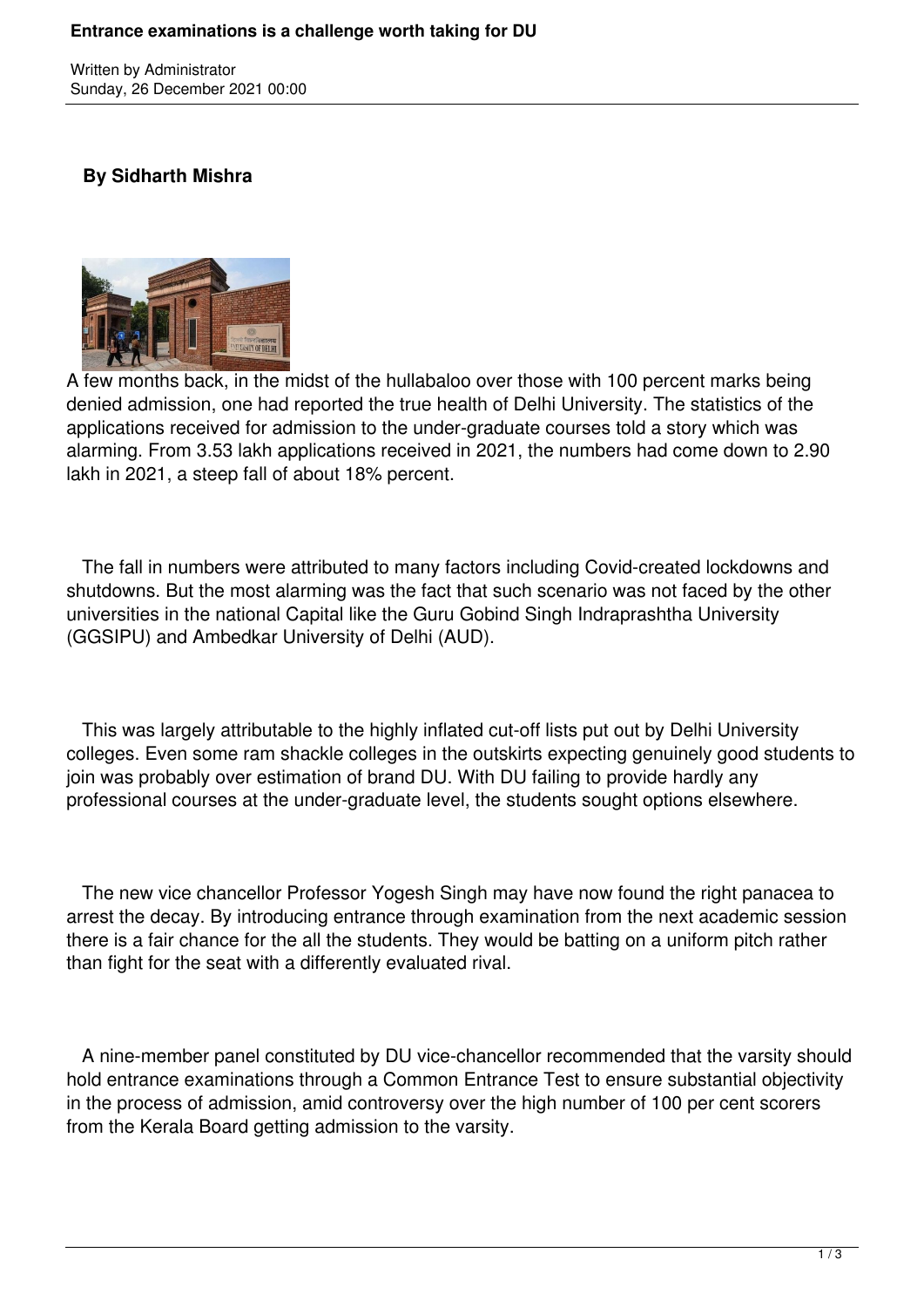Written by Administrator Sunday, 26 December 2021 00:00

## **By Sidharth Mishra**



A few months back, in the midst of the hullabaloo over those with 100 percent marks being denied admission, one had reported the true health of Delhi University. The statistics of the applications received for admission to the under-graduate courses told a story which was alarming. From 3.53 lakh applications received in 2021, the numbers had come down to 2.90 lakh in 2021, a steep fall of about 18% percent.

 The fall in numbers were attributed to many factors including Covid-created lockdowns and shutdowns. But the most alarming was the fact that such scenario was not faced by the other universities in the national Capital like the Guru Gobind Singh Indraprashtha University (GGSIPU) and Ambedkar University of Delhi (AUD).

 This was largely attributable to the highly inflated cut-off lists put out by Delhi University colleges. Even some ram shackle colleges in the outskirts expecting genuinely good students to join was probably over estimation of brand DU. With DU failing to provide hardly any professional courses at the under-graduate level, the students sought options elsewhere.

 The new vice chancellor Professor Yogesh Singh may have now found the right panacea to arrest the decay. By introducing entrance through examination from the next academic session there is a fair chance for the all the students. They would be batting on a uniform pitch rather than fight for the seat with a differently evaluated rival.

 A nine-member panel constituted by DU vice-chancellor recommended that the varsity should hold entrance examinations through a Common Entrance Test to ensure substantial objectivity in the process of admission, amid controversy over the high number of 100 per cent scorers from the Kerala Board getting admission to the varsity.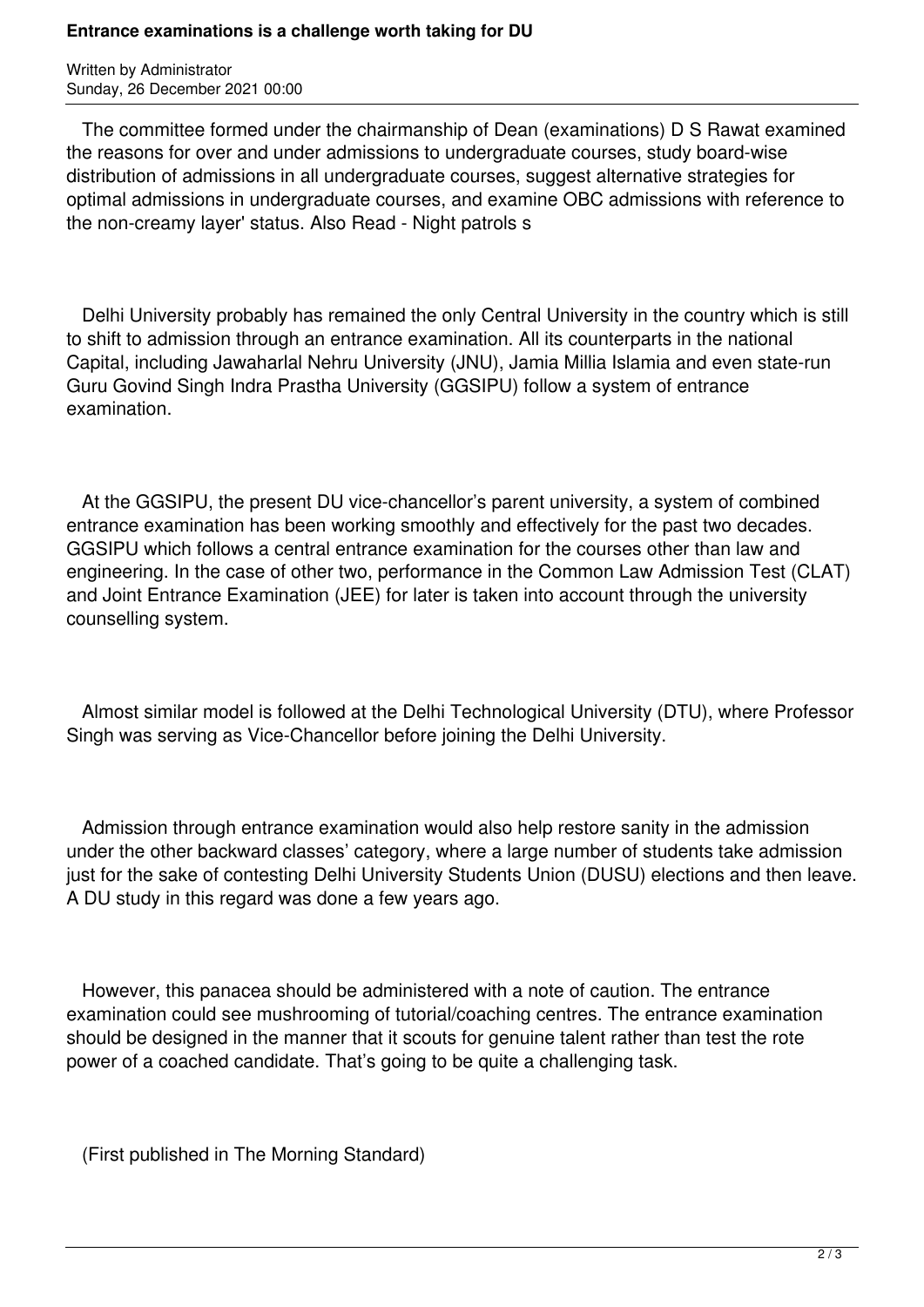## **Entrance examinations is a challenge worth taking for DU**

Written by Administrator Sunday, 26 December 2021 00:00

 The committee formed under the chairmanship of Dean (examinations) D S Rawat examined the reasons for over and under admissions to undergraduate courses, study board-wise distribution of admissions in all undergraduate courses, suggest alternative strategies for optimal admissions in undergraduate courses, and examine OBC admissions with reference to the non-creamy layer' status. Also Read - Night patrols s

 Delhi University probably has remained the only Central University in the country which is still to shift to admission through an entrance examination. All its counterparts in the national Capital, including Jawaharlal Nehru University (JNU), Jamia Millia Islamia and even state-run Guru Govind Singh Indra Prastha University (GGSIPU) follow a system of entrance examination.

 At the GGSIPU, the present DU vice-chancellor's parent university, a system of combined entrance examination has been working smoothly and effectively for the past two decades. GGSIPU which follows a central entrance examination for the courses other than law and engineering. In the case of other two, performance in the Common Law Admission Test (CLAT) and Joint Entrance Examination (JEE) for later is taken into account through the university counselling system.

 Almost similar model is followed at the Delhi Technological University (DTU), where Professor Singh was serving as Vice-Chancellor before joining the Delhi University.

 Admission through entrance examination would also help restore sanity in the admission under the other backward classes' category, where a large number of students take admission just for the sake of contesting Delhi University Students Union (DUSU) elections and then leave. A DU study in this regard was done a few years ago.

 However, this panacea should be administered with a note of caution. The entrance examination could see mushrooming of tutorial/coaching centres. The entrance examination should be designed in the manner that it scouts for genuine talent rather than test the rote power of a coached candidate. That's going to be quite a challenging task.

(First published in The Morning Standard)